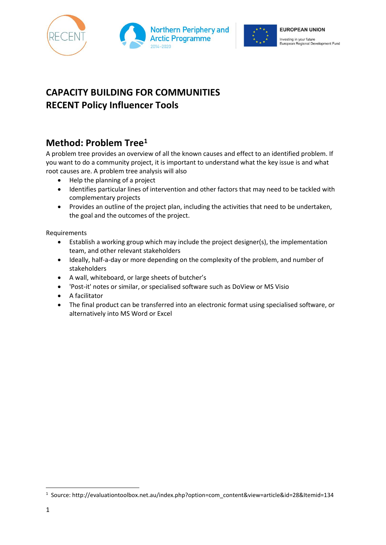





# **CAPACITY BUILDING FOR COMMUNITIES RECENT Policy Influencer Tools**

## **Method: Problem Tree<sup>1</sup>**

A problem tree provides an overview of all the known causes and effect to an identified problem. If you want to do a community project, it is important to understand what the key issue is and what root causes are. A problem tree analysis will also

- Help the planning of a project
- Identifies particular lines of intervention and other factors that may need to be tackled with complementary projects
- Provides an outline of the project plan, including the activities that need to be undertaken, the goal and the outcomes of the project.

Requirements

- Establish a working group which may include the project designer(s), the implementation team, and other relevant stakeholders
- Ideally, half-a-day or more depending on the complexity of the problem, and number of stakeholders
- A wall, whiteboard, or large sheets of butcher's
- 'Post-it' notes or similar, or specialised software such as DoView or MS Visio
- A facilitator
- The final product can be transferred into an electronic format using specialised software, or alternatively into MS Word or Excel

 $\overline{\phantom{a}}$ 

<sup>1</sup> Source: http://evaluationtoolbox.net.au/index.php?option=com\_content&view=article&id=28&Itemid=134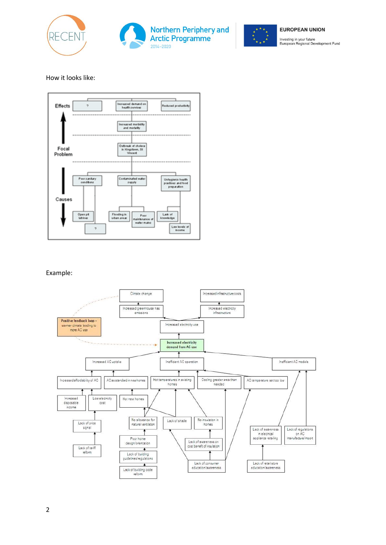





#### **EUROPEAN UNION**

Investing in your future<br>European Regional Development Fund

### How it looks like:



#### Example:

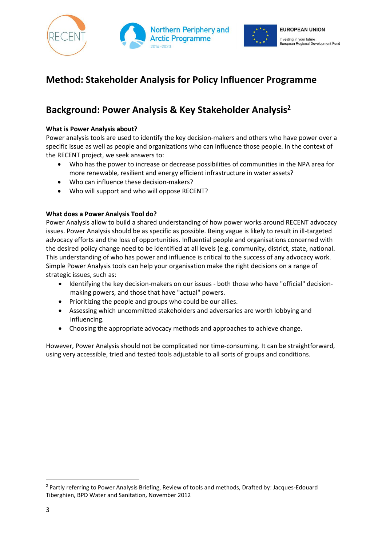



## **Method: Stakeholder Analysis for Policy Influencer Programme**

### **Background: Power Analysis & Key Stakeholder Analysis<sup>2</sup>**

### **What is Power Analysis about?**

Power analysis tools are used to identify the key decision-makers and others who have power over a specific issue as well as people and organizations who can influence those people. In the context of the RECENT project, we seek answers to:

- Who has the power to increase or decrease possibilities of communities in the NPA area for more renewable, resilient and energy efficient infrastructure in water assets?
- Who can influence these decision-makers?
- Who will support and who will oppose RECENT?

### **What does a Power Analysis Tool do?**

Power Analysis allow to build a shared understanding of how power works around RECENT advocacy issues. Power Analysis should be as specific as possible. Being vague is likely to result in ill-targeted advocacy efforts and the loss of opportunities. Influential people and organisations concerned with the desired policy change need to be identified at all levels (e.g. community, district, state, national. This understanding of who has power and influence is critical to the success of any advocacy work. Simple Power Analysis tools can help your organisation make the right decisions on a range of strategic issues, such as:

- Identifying the key decision-makers on our issues both those who have "official" decisionmaking powers, and those that have "actual" powers.
- Prioritizing the people and groups who could be our allies.
- Assessing which uncommitted stakeholders and adversaries are worth lobbying and influencing.
- Choosing the appropriate advocacy methods and approaches to achieve change.

However, Power Analysis should not be complicated nor time-consuming. It can be straightforward, using very accessible, tried and tested tools adjustable to all sorts of groups and conditions.

 $\overline{a}$ 

<sup>2</sup> Partly referring to Power Analysis Briefing, Review of tools and methods, Drafted by: Jacques-Edouard Tiberghien, BPD Water and Sanitation, November 2012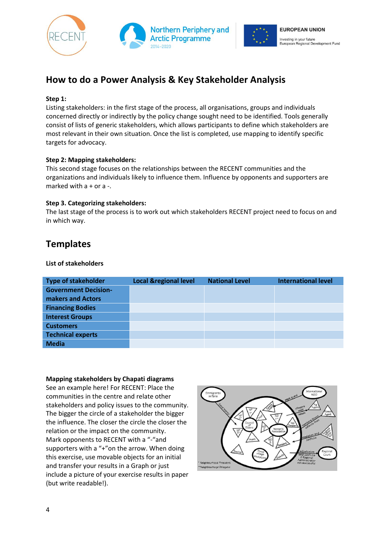



## **How to do a Power Analysis & Key Stakeholder Analysis**

### **Step 1:**

Listing stakeholders: in the first stage of the process, all organisations, groups and individuals concerned directly or indirectly by the policy change sought need to be identified. Tools generally consist of lists of generic stakeholders, which allows participants to define which stakeholders are most relevant in their own situation. Once the list is completed, use mapping to identify specific targets for advocacy.

### **Step 2: Mapping stakeholders:**

This second stage focuses on the relationships between the RECENT communities and the organizations and individuals likely to influence them. Influence by opponents and supporters are marked with  $a + or a -$ .

### **Step 3. Categorizing stakeholders:**

The last stage of the process is to work out which stakeholders RECENT project need to focus on and in which way.

### **Templates**

### **List of stakeholders**

| <b>Type of stakeholder</b>  | <b>Local &amp;regional level</b> | <b>National Level</b> | <b>International level</b> |
|-----------------------------|----------------------------------|-----------------------|----------------------------|
| <b>Government Decision-</b> |                                  |                       |                            |
| makers and Actors           |                                  |                       |                            |
| <b>Financing Bodies</b>     |                                  |                       |                            |
| <b>Interest Groups</b>      |                                  |                       |                            |
| <b>Customers</b>            |                                  |                       |                            |
| <b>Technical experts</b>    |                                  |                       |                            |
| <b>Media</b>                |                                  |                       |                            |

#### **Mapping stakeholders by Chapati diagrams**

See an example here! For RECENT: Place the communities in the centre and relate other stakeholders and policy issues to the community. The bigger the circle of a stakeholder the bigger the influence. The closer the circle the closer the relation or the impact on the community. Mark opponents to RECENT with a "-"and supporters with a "+"on the arrow. When doing this exercise, use movable objects for an initial and transfer your results in a Graph or just include a picture of your exercise results in paper (but write readable!).

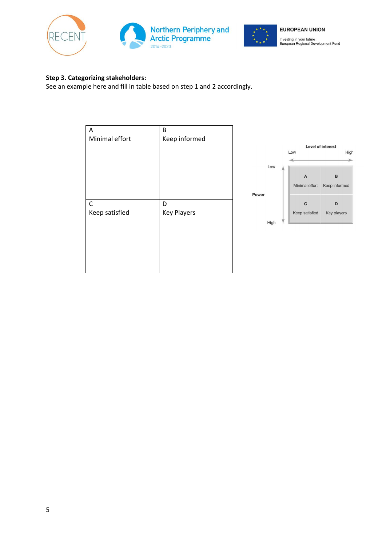





### **Step 3. Categorizing stakeholders:**

See an example here and fill in table based on step 1 and 2 accordingly.

|                | B                  |       |      |                |                   |
|----------------|--------------------|-------|------|----------------|-------------------|
| Α              |                    |       |      |                |                   |
| Minimal effort | Keep informed      |       |      |                |                   |
|                |                    |       |      |                | Level of interest |
|                |                    |       |      | Low            | High              |
|                |                    |       |      |                |                   |
|                |                    |       | Low  |                |                   |
|                |                    |       |      | $\overline{A}$ | $\, {\bf B}$      |
|                |                    |       |      | Minimal effort | Keep informed     |
|                |                    | Power |      |                |                   |
| $\mathsf C$    | D                  |       |      | $\mathbf{C}$   | D                 |
| Keep satisfied | <b>Key Players</b> |       |      | Keep satisfied | Key players       |
|                |                    |       | High |                |                   |
|                |                    |       |      |                |                   |
|                |                    |       |      |                |                   |
|                |                    |       |      |                |                   |
|                |                    |       |      |                |                   |
|                |                    |       |      |                |                   |
|                |                    |       |      |                |                   |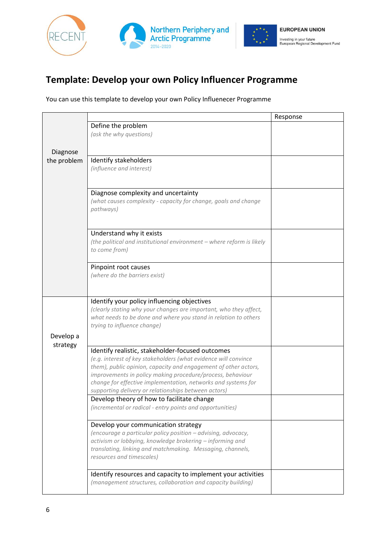



## **Template: Develop your own Policy Influencer Programme**

You can use this template to develop your own Policy Influenecer Programme

|                       |                                                                                                                             | Response |
|-----------------------|-----------------------------------------------------------------------------------------------------------------------------|----------|
|                       | Define the problem                                                                                                          |          |
|                       | (ask the why questions)                                                                                                     |          |
|                       |                                                                                                                             |          |
| Diagnose              |                                                                                                                             |          |
| the problem           | Identify stakeholders<br>(influence and interest)                                                                           |          |
|                       |                                                                                                                             |          |
|                       |                                                                                                                             |          |
|                       | Diagnose complexity and uncertainty                                                                                         |          |
|                       | (what causes complexity - capacity for change, goals and change                                                             |          |
|                       | pathways)                                                                                                                   |          |
|                       |                                                                                                                             |          |
|                       | Understand why it exists                                                                                                    |          |
|                       | (the political and institutional environment - where reform is likely                                                       |          |
|                       | to come from)                                                                                                               |          |
|                       | Pinpoint root causes                                                                                                        |          |
|                       | (where do the barriers exist)                                                                                               |          |
|                       |                                                                                                                             |          |
|                       |                                                                                                                             |          |
|                       | Identify your policy influencing objectives                                                                                 |          |
|                       | (clearly stating why your changes are important, who they affect,                                                           |          |
|                       | what needs to be done and where you stand in relation to others<br>trying to influence change)                              |          |
|                       |                                                                                                                             |          |
| Develop a<br>strategy |                                                                                                                             |          |
|                       | Identify realistic, stakeholder-focused outcomes                                                                            |          |
|                       | (e.g. interest of key stakeholders (what evidence will convince                                                             |          |
|                       | them), public opinion, capacity and engagement of other actors,                                                             |          |
|                       | improvements in policy making procedure/process, behaviour<br>change for effective implementation, networks and systems for |          |
|                       | supporting delivery or relationships between actors)                                                                        |          |
|                       | Develop theory of how to facilitate change                                                                                  |          |
|                       | (incremental or radical - entry points and opportunities)                                                                   |          |
|                       |                                                                                                                             |          |
|                       | Develop your communication strategy<br>(encourage a particular policy position - advising, advocacy,                        |          |
|                       | activism or lobbying, knowledge brokering - informing and                                                                   |          |
|                       | translating, linking and matchmaking. Messaging, channels,                                                                  |          |
|                       | resources and timescales)                                                                                                   |          |
|                       |                                                                                                                             |          |
|                       | Identify resources and capacity to implement your activities                                                                |          |
|                       | (management structures, collaboration and capacity building)                                                                |          |